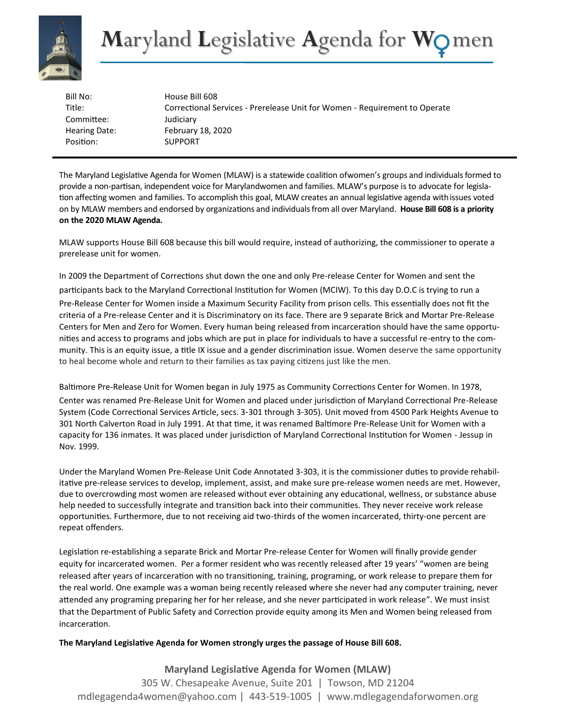

| Bill No:             | House Bill 608                                                             |
|----------------------|----------------------------------------------------------------------------|
| Title:               | Correctional Services - Prerelease Unit for Women - Requirement to Operate |
| Committee:           | Judiciary                                                                  |
| <b>Hearing Date:</b> | February 18, 2020                                                          |
| Position:            | <b>SUPPORT</b>                                                             |

The Maryland Legislative Agenda for Women (MLAW) is a statewide coalition ofwomen's groups and individualsformed to provide a non-partisan, independent voice for Marylandwomen and families. MLAW's purpose is to advocate for legislation affecting women and families. To accomplish this goal, MLAW creates an annual legislative agenda withissues voted on by MLAW members and endorsed by organizations and individualsfrom all over Maryland. **House Bill 608 is a priority on the 2020 MLAW Agenda.**

MLAW supports House Bill 608 because this bill would require, instead of authorizing, the commissioner to operate a prerelease unit for women.

In 2009 the Department of Corrections shut down the one and only Pre-release Center for Women and sent the participants back to the Maryland Correctional Institution for Women (MCIW). To this day D.O.C is trying to run a Pre-Release Center for Women inside a Maximum Security Facility from prison cells. This essentially does not fit the criteria of a Pre-release Center and it is Discriminatory on its face. There are 9 separate Brick and Mortar Pre-Release Centers for Men and Zero for Women. Every human being released from incarceration should have the same opportunities and access to programs and jobs which are put in place for individuals to have a successful re-entry to the community. This is an equity issue, a title IX issue and a gender discrimination issue. Women deserve the same opportunity to heal become whole and return to their families as tax paying citizens just like the men.

Baltimore Pre-Release Unit for Women began in July 1975 as Community Corrections Center for Women. In 1978,

Center was renamed Pre-Release Unit for Women and placed under jurisdiction of Maryland Correctional Pre-Release System (Code Correctional Services Article, secs. 3-301 through 3-305). Unit moved from 4500 Park Heights Avenue to 301 North Calverton Road in July 1991. At that time, it was renamed Baltimore Pre-Release Unit for Women with a capacity for 136 inmates. It was placed under jurisdiction of Maryland Correctional Institution for Women - Jessup in Nov. 1999.

Under the Maryland Women Pre-Release Unit Code Annotated 3-303, it is the commissioner duties to provide rehabilitative pre-release services to develop, implement, assist, and make sure pre-release women needs are met. However, due to overcrowding most women are released without ever obtaining any educational, wellness, or substance abuse help needed to successfully integrate and transition back into their communities. They never receive work release opportunities. Furthermore, due to not receiving aid two-thirds of the women incarcerated, thirty-one percent are repeat offenders.

Legislation re-establishing a separate Brick and Mortar Pre-release Center for Women will finally provide gender equity for incarcerated women. Per a former resident who was recently released after 19 years' "women are being released after years of incarceration with no transitioning, training, programing, or work release to prepare them for the real world. One example was a woman being recently released where she never had any computer training, never attended any programing preparing her for her release, and she never participated in work release". We must insist that the Department of Public Safety and Correction provide equity among its Men and Women being released from incarceration.

## **The Maryland Legislative Agenda for Women strongly urges the passage of House Bill 608.**

**Maryland Legislative Agenda for Women (MLAW)** 305 W. Chesapeake Avenue, Suite 201 | Towson, MD 21204 mdlegagenda4women@yahoo.com | 443-519-1005 | www.mdlegagendaforwomen.org